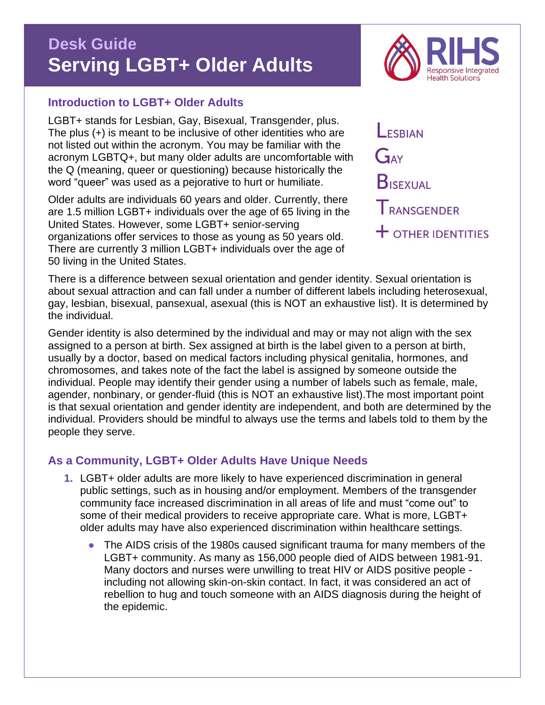# **Desk Guide Serving LGBT+ Older Adults**

## **Introduction to LGBT+ Older Adults**

LGBT+ stands for Lesbian, Gay, Bisexual, Transgender, plus. The plus (+) is meant to be inclusive of other identities who are not listed out within the acronym. You may be familiar with the acronym LGBTQ+, but many older adults are uncomfortable with the Q (meaning, queer or questioning) because historically the word "queer" was used as a pejorative to hurt or humiliate.

Older adults are individuals 60 years and older. Currently, there are 1.5 million LGBT+ individuals over the age of 65 living in the United States. However, some LGBT+ senior-serving organizations offer services to those as young as 50 years old. There are currently 3 million LGBT+ individuals over the age of 50 living in the United States.

ESRIAN GAY **BISEXUAL** TRANSGENDER  $\dagger$  other identities

There is a difference between sexual orientation and gender identity. Sexual orientation is about sexual attraction and can fall under a number of different labels including heterosexual, gay, lesbian, bisexual, pansexual, asexual (this is NOT an exhaustive list). It is determined by the individual.

Gender identity is also determined by the individual and may or may not align with the sex assigned to a person at birth. Sex assigned at birth is the label given to a person at birth, usually by a doctor, based on medical factors including physical genitalia, hormones, and chromosomes, and takes note of the fact the label is assigned by someone outside the individual. People may identify their gender using a number of labels such as female, male, agender, nonbinary, or gender-fluid (this is NOT an exhaustive list).The most important point is that sexual orientation and gender identity are independent, and both are determined by the individual. Providers should be mindful to always use the terms and labels told to them by the people they serve.

# **As a Community, LGBT+ Older Adults Have Unique Needs**

- **1.** LGBT+ older adults are more likely to have experienced discrimination in general public settings, such as in housing and/or employment. Members of the transgender community face increased discrimination in all areas of life and must "come out" to some of their medical providers to receive appropriate care. What is more, LGBT+ older adults may have also experienced discrimination within healthcare settings.
	- The AIDS crisis of the 1980s caused significant trauma for many members of the LGBT+ community. As many as 156,000 people died of AIDS between 1981-91. Many doctors and nurses were unwilling to treat HIV or AIDS positive people including not allowing skin-on-skin contact. In fact, it was considered an act of rebellion to hug and touch someone with an AIDS diagnosis during the height of the epidemic.

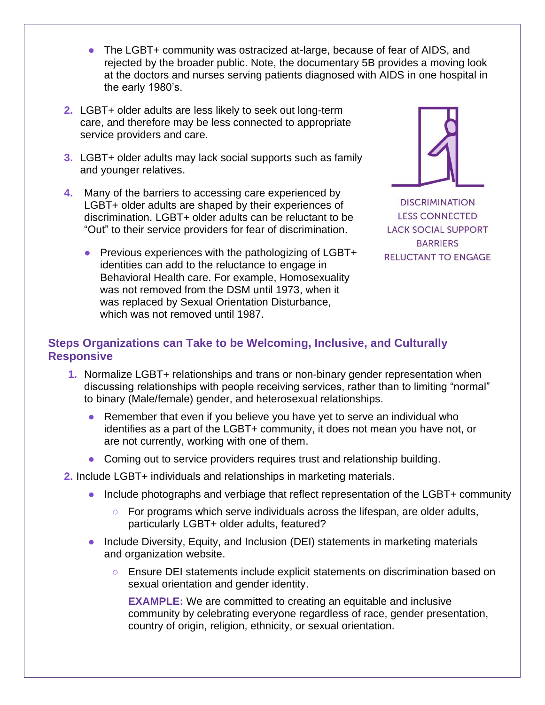- The LGBT+ community was ostracized at-large, because of fear of AIDS, and rejected by the broader public. Note, [the documentary](https://5bfilm.com/) 5B provides a moving look at the doctors and nurses serving patients diagnosed with AIDS in one hospital in the early 1980's.
- **2.** LGBT+ older adults are less likely to seek out long-term care, and therefore may be less connected to appropriate service providers and care.
- **3.** LGBT+ older adults may lack social supports such as family and younger relatives.
- **4.** Many of the barriers to accessing care experienced by LGBT+ older adults are shaped by their experiences of discrimination. LGBT+ older adults can be reluctant to be "Out" to their service providers for fear of discrimination.
	- Previous experiences with the pathologizing of LGBT+ identities can add to the reluctance to engage in Behavioral Health care. For example, Homosexuality was not removed from the DSM until 1973, when it was replaced by Sexual Orientation Disturbance, which was not removed until 1987.



**DISCRIMINATION LESS CONNECTED LACK SOCIAL SUPPORT BARRIERS RELUCTANT TO ENGAGE** 

# **Steps Organizations can Take to be Welcoming, Inclusive, and Culturally Responsive**

- **1.** Normalize LGBT+ relationships and trans or non-binary gender representation when discussing relationships with people receiving services, rather than to limiting "normal" to binary (Male/female) gender, and heterosexual relationships.
	- Remember that even if you believe you have yet to serve an individual who identifies as a part of the LGBT+ community, it does not mean you have not, or are not currently, working with one of them.
	- Coming out to service providers requires trust and relationship building.
- **2.** Include LGBT+ individuals and relationships in marketing materials.
	- Include photographs and verbiage that reflect representation of the LGBT+ community
		- For programs which serve individuals across the lifespan, are older adults, particularly LGBT+ older adults, featured?
	- Include Diversity, Equity, and Inclusion (DEI) statements in marketing materials and organization website.
		- Ensure DEI statements include explicit statements on discrimination based on sexual orientation and gender identity.

**EXAMPLE:** We are committed to creating an equitable and inclusive community by celebrating everyone regardless of race, gender presentation, country of origin, religion, ethnicity, or sexual orientation.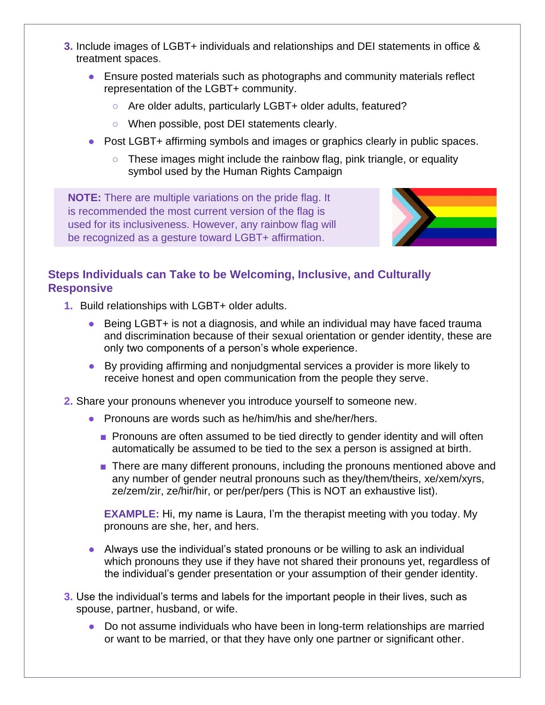- **3.** Include images of LGBT+ individuals and relationships and DEI statements in office & treatment spaces.
	- Ensure posted materials such as photographs and community materials reflect representation of the LGBT+ community.
		- Are older adults, particularly LGBT+ older adults, featured?
		- When possible, post DEI statements clearly.
	- Post LGBT+ affirming symbols and images or graphics clearly in public spaces.
		- These images might include the [rainbow flag,](https://us.123rf.com/450wm/jpgon/jpgon1410/jpgon141000085/32406443-illustration-of-a-gay-pride-flag.jpg?ver=6) [pink triangle,](https://www.wehoville.com/wp-content/uploads/2019/07/pinktriangle.jpg) or equality [symbol](https://upload.wikimedia.org/wikipedia/commons/a/ad/Hrc_logo.svg) used by the Human Rights Campaign

**NOTE:** There are multiple variations on the pride flag. It is recommended the [most current version of the flag](https://cms.qz.com/wp-content/uploads/2018/06/new-pride-flag-01.jpg?quality=75&strip=all&w=1200&h=900&crop=1) is used for its inclusiveness. However, any rainbow flag will be recognized as a gesture toward LGBT+ affirmation.



## **Steps Individuals can Take to be Welcoming, Inclusive, and Culturally Responsive**

- **1.** Build relationships with LGBT+ older adults.
	- Being LGBT+ is not a diagnosis, and while an individual may have faced trauma and discrimination because of their sexual orientation or gender identity, these are only two components of a person's whole experience.
	- By providing affirming and nonjudgmental services a provider is more likely to receive honest and open communication from the people they serve.
- **2.** Share your pronouns whenever you introduce yourself to someone new.
	- Pronouns are words such as he/him/his and she/her/hers.
		- Pronouns are often assumed to be tied directly to gender identity and will often automatically be assumed to be tied to the sex a person is assigned at birth.
		- There are many different pronouns, including the pronouns mentioned above and any number of gender neutral pronouns such as they/them/theirs, xe/xem/xyrs, ze/zem/zir, ze/hir/hir, or per/per/pers (This is NOT an exhaustive list).

**EXAMPLE:** Hi, my name is Laura, I'm the therapist meeting with you today. My pronouns are she, her, and hers.

- Always use the individual's stated pronouns or be willing to ask an individual which pronouns they use if they have not shared their pronouns yet, regardless of the individual's gender presentation or your assumption of their gender identity.
- **3.** Use the individual's terms and labels for the important people in their lives, such as spouse, partner, husband, or wife.
	- Do not assume individuals who have been in long-term relationships are married or want to be married, or that they have only one partner or significant other.